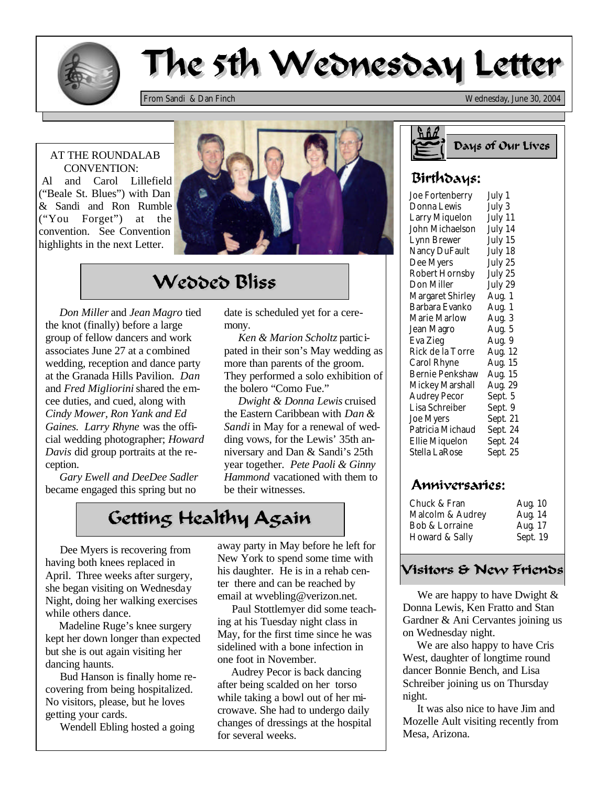

# The 5th Wednesday Letter

*From Sandi & Dan Finch Wednesday, June 30, 2004*

#### AT THE ROUNDALAB CONVENTION:

 Al and Carol Lillefield ("Beale St. Blues") with Dan & Sandi and Ron Rumble ("You Forget") at the convention. See Convention highlights in the next Letter.



## Wedded Bliss

 *Don Miller* and *Jean Magro* tied the knot (finally) before a large group of fellow dancers and work associates June 27 at a combined wedding, reception and dance party at the Granada Hills Pavilion. *Dan* and *Fred Migliorini* shared the emcee duties, and cued, along with *Cindy Mower, Ron Yank and Ed Gaines. Larry Rhyne* was the official wedding photographer; *Howard Davis* did group portraits at the reception.

 *Gary Ewell and DeeDee Sadler* became engaged this spring but no

date is scheduled yet for a ceremony.

 *Ken & Marion Scholtz* participated in their son's May wedding as more than parents of the groom. They performed a solo exhibition of the bolero "Como Fue."

 *Dwight & Donna Lewis* cruised the Eastern Caribbean with *Dan & Sandi* in May for a renewal of wedding vows, for the Lewis' 35th anniversary and Dan & Sandi's 25th year together. *Pete Paoli & Ginny Hammond* vacationed with them to be their witnesses.

### Getting Healthy Again

 Dee Myers is recovering from having both knees replaced in April. Three weeks after surgery, she began visiting on Wednesday Night, doing her walking exercises while others dance.

 Madeline Ruge's knee surgery kept her down longer than expected but she is out again visiting her dancing haunts.

 Bud Hanson is finally home recovering from being hospitalized. No visitors, please, but he loves getting your cards.

Wendell Ebling hosted a going

away party in May before he left for New York to spend some time with his daughter. He is in a rehab center there and can be reached by email at wvebling@verizon.net.

 Paul Stottlemyer did some teaching at his Tuesday night class in May, for the first time since he was sidelined with a bone infection in one foot in November.

 Audrey Pecor is back dancing after being scalded on her torso while taking a bowl out of her microwave. She had to undergo daily changes of dressings at the hospital for several weeks.



#### Birthdays:

| Joe Fortenberry        | July 1   |
|------------------------|----------|
| Donna Lewis            | July 3   |
| Larry Miquelon         | July 11  |
| John Michaelson        | July 14  |
| Lynn Brewer            | July 15  |
| Nancy DuFault          | July 18  |
| Dee Myers              | July 25  |
| <b>Robert Hornsby</b>  | July 25  |
| Don Miller             | July 29  |
| Margaret Shirley       | Aug. 1   |
| Barbara Evanko         | Aug. 1   |
| Marie Marlow           | Aug. 3   |
| Jean Magro             | Aug. 5   |
| Eva Zieg               | Aug. 9   |
| Rick de la Torre       | Aug. 12  |
| Carol Rhyne            | Aug. 15  |
| <b>Bernie Penkshaw</b> | Aug. 15  |
| Mickey Marshall        | Aug. 29  |
| Audrey Pecor           | Sept. 5  |
| Lisa Schreiber         | Sept. 9  |
| Joe Myers              | Sept. 21 |
| Patricia Michaud       | Sept. 24 |
| Ellie Miquelon         | Sept. 24 |
| Stella LaRose          | Sept. 25 |

#### Anniversaries:

| Chuck & Fran              | Aug. 10  |
|---------------------------|----------|
| Malcolm & Audrey          | Aug. 14  |
| <b>Bob &amp; Lorraine</b> | Aug. 17  |
| Howard & Sally            | Sept. 19 |

### Visitors & New Friends

We are happy to have Dwight & Donna Lewis, Ken Fratto and Stan Gardner & Ani Cervantes joining us on Wednesday night.

 We are also happy to have Cris West, daughter of longtime round dancer Bonnie Bench, and Lisa Schreiber joining us on Thursday night.

 It was also nice to have Jim and Mozelle Ault visiting recently from Mesa, Arizona.